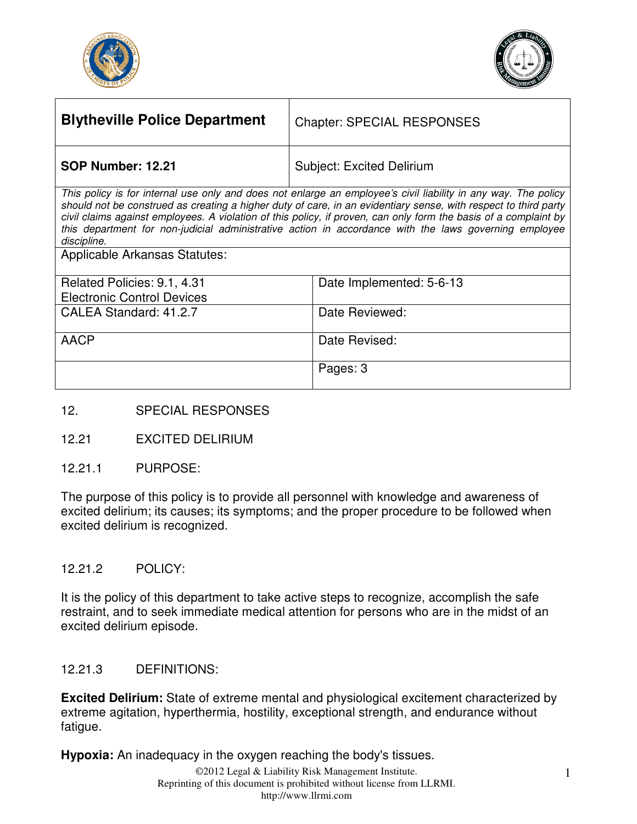



| <b>Blytheville Police Department</b> | <b>Chapter: SPECIAL RESPONSES</b>                                                                              |
|--------------------------------------|----------------------------------------------------------------------------------------------------------------|
| <b>SOP Number: 12.21</b>             | <b>Subject: Excited Delirium</b>                                                                               |
|                                      | This nation is far interest use anter and dess not entered an employeels sigilization in some user. The nation |

This policy is for internal use only and does not enlarge an employee's civil liability in any way. The policy should not be construed as creating a higher duty of care, in an evidentiary sense, with respect to third party civil claims against employees. A violation of this policy, if proven, can only form the basis of a complaint by this department for non-judicial administrative action in accordance with the laws governing employee discipline.

Applicable Arkansas Statutes:

| Related Policies: 9.1, 4.31       | Date Implemented: 5-6-13 |
|-----------------------------------|--------------------------|
| <b>Electronic Control Devices</b> |                          |
| CALEA Standard: 41.2.7            | Date Reviewed:           |
|                                   |                          |
| AACP                              | Date Revised:            |
|                                   |                          |
|                                   | Pages: 3                 |
|                                   |                          |

- 12. SPECIAL RESPONSES
- 12.21 EXCITED DELIRIUM
- 12.21.1 PURPOSE:

The purpose of this policy is to provide all personnel with knowledge and awareness of excited delirium; its causes; its symptoms; and the proper procedure to be followed when excited delirium is recognized.

#### 12.21.2 POLICY:

It is the policy of this department to take active steps to recognize, accomplish the safe restraint, and to seek immediate medical attention for persons who are in the midst of an excited delirium episode.

#### 12.21.3 DEFINITIONS:

**Excited Delirium:** State of extreme mental and physiological excitement characterized by extreme agitation, hyperthermia, hostility, exceptional strength, and endurance without fatigue.

**Hypoxia:** An inadequacy in the oxygen reaching the body's tissues.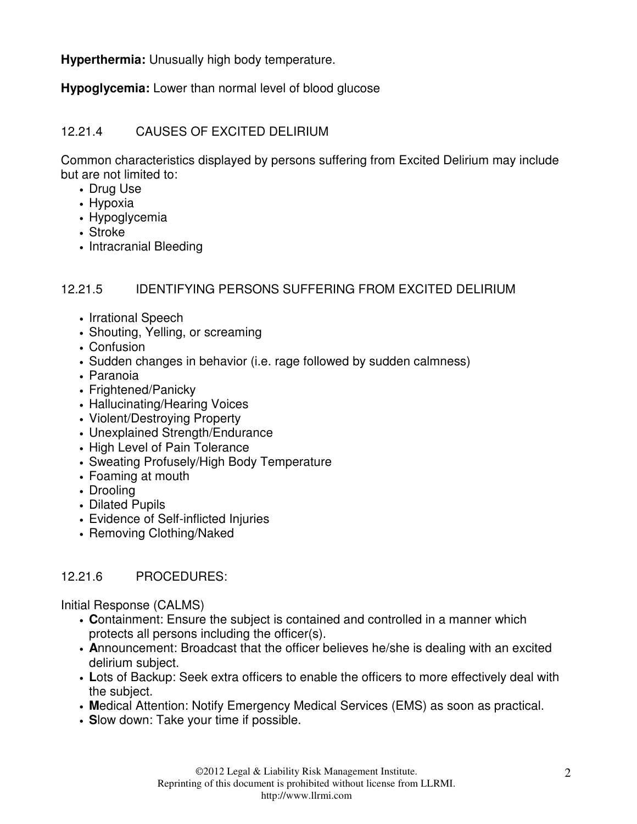**Hyperthermia:** Unusually high body temperature.

**Hypoglycemia:** Lower than normal level of blood glucose

# 12.21.4 CAUSES OF EXCITED DELIRIUM

Common characteristics displayed by persons suffering from Excited Delirium may include but are not limited to:

- Drug Use
- Hypoxia
- Hypoglycemia
- Stroke
- Intracranial Bleeding

## 12.21.5 IDENTIFYING PERSONS SUFFERING FROM EXCITED DELIRIUM

- Irrational Speech
- Shouting, Yelling, or screaming
- Confusion
- Sudden changes in behavior (i.e. rage followed by sudden calmness)
- Paranoia
- Frightened/Panicky
- Hallucinating/Hearing Voices
- Violent/Destroying Property
- Unexplained Strength/Endurance
- High Level of Pain Tolerance
- Sweating Profusely/High Body Temperature
- Foaming at mouth
- Drooling
- Dilated Pupils
- Evidence of Self-inflicted Injuries
- Removing Clothing/Naked

# 12.21.6 PROCEDURES:

Initial Response (CALMS)

- **C**ontainment: Ensure the subject is contained and controlled in a manner which protects all persons including the officer(s).
- **A**nnouncement: Broadcast that the officer believes he/she is dealing with an excited delirium subject.
- **L**ots of Backup: Seek extra officers to enable the officers to more effectively deal with the subject.
- **M**edical Attention: Notify Emergency Medical Services (EMS) as soon as practical.
- **S**low down: Take your time if possible.